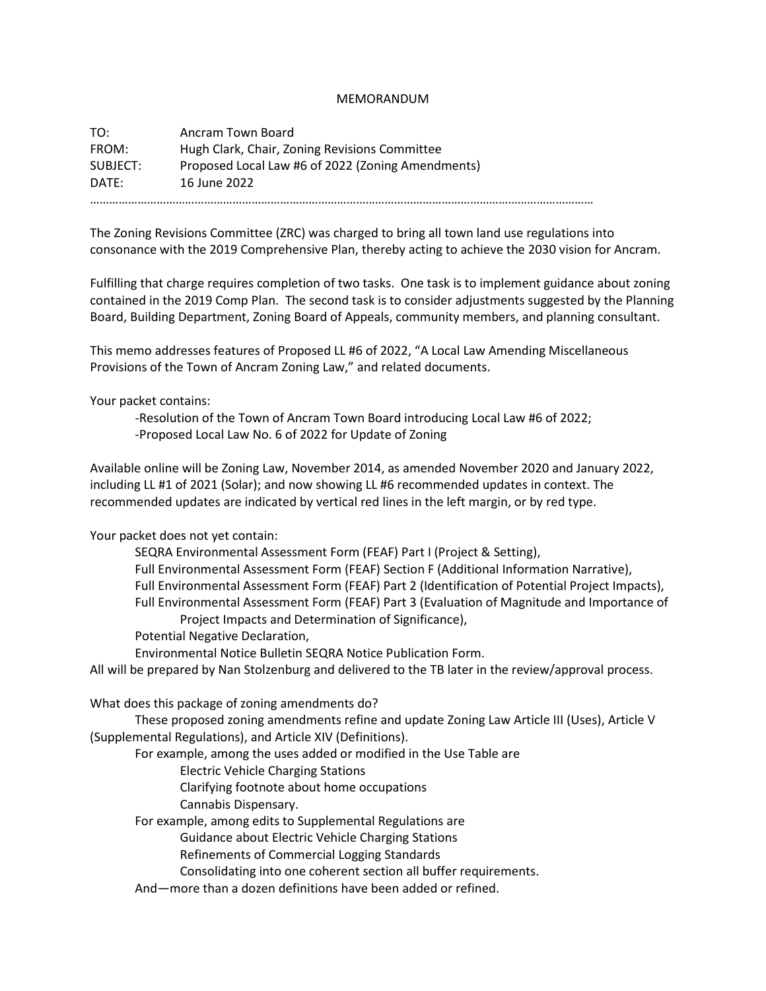## MEMORANDUM

TO: Ancram Town Board FROM: Hugh Clark, Chair, Zoning Revisions Committee SUBJECT: Proposed Local Law #6 of 2022 (Zoning Amendments) DATE: 16 June 2022 ……………………………………………………………………………………………………………………………………………

The Zoning Revisions Committee (ZRC) was charged to bring all town land use regulations into consonance with the 2019 Comprehensive Plan, thereby acting to achieve the 2030 vision for Ancram.

Fulfilling that charge requires completion of two tasks. One task is to implement guidance about zoning contained in the 2019 Comp Plan. The second task is to consider adjustments suggested by the Planning Board, Building Department, Zoning Board of Appeals, community members, and planning consultant.

This memo addresses features of Proposed LL #6 of 2022, "A Local Law Amending Miscellaneous Provisions of the Town of Ancram Zoning Law," and related documents.

Your packet contains:

-Resolution of the Town of Ancram Town Board introducing Local Law #6 of 2022; -Proposed Local Law No. 6 of 2022 for Update of Zoning

Available online will be Zoning Law, November 2014, as amended November 2020 and January 2022, including LL #1 of 2021 (Solar); and now showing LL #6 recommended updates in context. The recommended updates are indicated by vertical red lines in the left margin, or by red type.

Your packet does not yet contain:

- SEQRA Environmental Assessment Form (FEAF) Part I (Project & Setting),
- Full Environmental Assessment Form (FEAF) Section F (Additional Information Narrative),
- Full Environmental Assessment Form (FEAF) Part 2 (Identification of Potential Project Impacts),

Full Environmental Assessment Form (FEAF) Part 3 (Evaluation of Magnitude and Importance of Project Impacts and Determination of Significance),

Potential Negative Declaration,

Environmental Notice Bulletin SEQRA Notice Publication Form.

All will be prepared by Nan Stolzenburg and delivered to the TB later in the review/approval process.

What does this package of zoning amendments do?

These proposed zoning amendments refine and update Zoning Law Article III (Uses), Article V (Supplemental Regulations), and Article XIV (Definitions).

For example, among the uses added or modified in the Use Table are

Electric Vehicle Charging Stations

Clarifying footnote about home occupations

Cannabis Dispensary.

For example, among edits to Supplemental Regulations are

Guidance about Electric Vehicle Charging Stations

Refinements of Commercial Logging Standards

Consolidating into one coherent section all buffer requirements.

And—more than a dozen definitions have been added or refined.